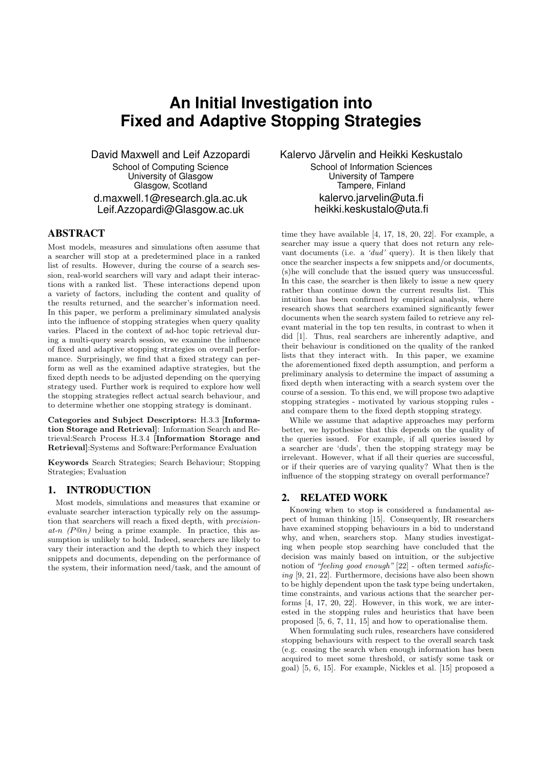# **An Initial Investigation into Fixed and Adaptive Stopping Strategies**

David Maxwell and Leif Azzopardi School of Computing Science University of Glasgow Glasgow, Scotland d.maxwell.1@research.gla.ac.uk

Leif.Azzopardi@Glasgow.ac.uk

## ABSTRACT

Most models, measures and simulations often assume that a searcher will stop at a predetermined place in a ranked list of results. However, during the course of a search session, real-world searchers will vary and adapt their interactions with a ranked list. These interactions depend upon a variety of factors, including the content and quality of the results returned, and the searcher's information need. In this paper, we perform a preliminary simulated analysis into the influence of stopping strategies when query quality varies. Placed in the context of ad-hoc topic retrieval during a multi-query search session, we examine the influence of fixed and adaptive stopping strategies on overall performance. Surprisingly, we find that a fixed strategy can perform as well as the examined adaptive strategies, but the fixed depth needs to be adjusted depending on the querying strategy used. Further work is required to explore how well the stopping strategies reflect actual search behaviour, and to determine whether one stopping strategy is dominant.

Categories and Subject Descriptors: H.3.3 [Information Storage and Retrieval]: Information Search and Retrieval:Search Process H.3.4 [Information Storage and Retrieval]:Systems and Software:Performance Evaluation

Keywords Search Strategies; Search Behaviour; Stopping Strategies; Evaluation

# 1. INTRODUCTION

Most models, simulations and measures that examine or evaluate searcher interaction typically rely on the assumption that searchers will reach a fixed depth, with *precisionat-n (P*@*n)* being a prime example. In practice, this assumption is unlikely to hold. Indeed, searchers are likely to vary their interaction and the depth to which they inspect snippets and documents, depending on the performance of the system, their information need/task, and the amount of

Kalervo Järvelin and Heikki Keskustalo School of Information Sciences University of Tampere Tampere, Finland kalervo.jarvelin@uta.fi heikki.keskustalo@uta.fi

time they have available [4, 17, 18, 20, 22]. For example, a searcher may issue a query that does not return any relevant documents (i.e. a *'dud'* query). It is then likely that once the searcher inspects a few snippets and/or documents, (s)he will conclude that the issued query was unsuccessful. In this case, the searcher is then likely to issue a new query rather than continue down the current results list. This intuition has been confirmed by empirical analysis, where research shows that searchers examined significantly fewer documents when the search system failed to retrieve any relevant material in the top ten results, in contrast to when it did [1]. Thus, real searchers are inherently adaptive, and their behaviour is conditioned on the quality of the ranked lists that they interact with. In this paper, we examine the aforementioned fixed depth assumption, and perform a preliminary analysis to determine the impact of assuming a fixed depth when interacting with a search system over the course of a session. To this end, we will propose two adaptive stopping strategies - motivated by various stopping rules and compare them to the fixed depth stopping strategy.

While we assume that adaptive approaches may perform better, we hypothesise that this depends on the quality of the queries issued. For example, if all queries issued by a searcher are 'duds', then the stopping strategy may be irrelevant. However, what if all their queries are successful, or if their queries are of varying quality? What then is the influence of the stopping strategy on overall performance?

# 2. RELATED WORK

Knowing when to stop is considered a fundamental aspect of human thinking [15]. Consequently, IR researchers have examined stopping behaviours in a bid to understand why, and when, searchers stop. Many studies investigating when people stop searching have concluded that the decision was mainly based on intuition, or the subjective notion of *"feeling good enough"* [22] - often termed *satisficing* [9, 21, 22]. Furthermore, decisions have also been shown to be highly dependent upon the task type being undertaken, time constraints, and various actions that the searcher performs [4, 17, 20, 22]. However, in this work, we are interested in the stopping rules and heuristics that have been proposed [5, 6, 7, 11, 15] and how to operationalise them.

When formulating such rules, researchers have considered stopping behaviours with respect to the overall search task (e.g. ceasing the search when enough information has been acquired to meet some threshold, or satisfy some task or goal) [5, 6, 15]. For example, Nickles et al. [15] proposed a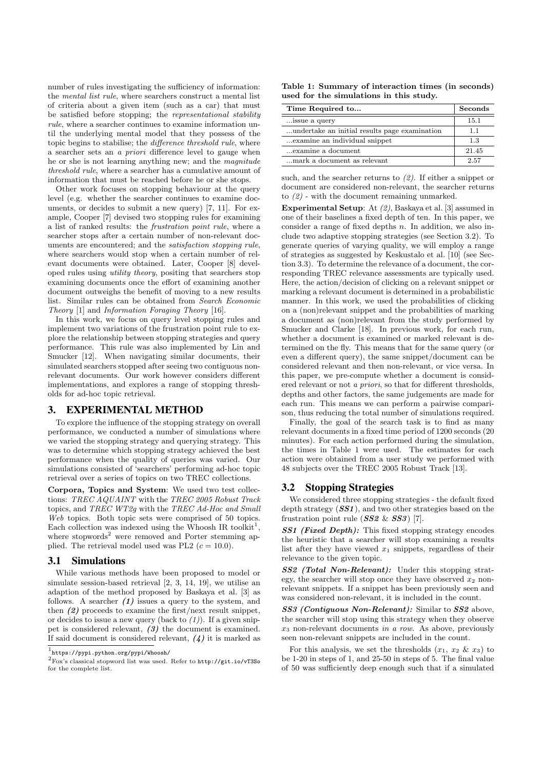number of rules investigating the sufficiency of information: the *mental list rule*, where searchers construct a mental list of criteria about a given item (such as a car) that must be satisfied before stopping; the *representational stability rule*, where a searcher continues to examine information until the underlying mental model that they possess of the topic begins to stabilise; the *difference threshold rule*, where a searcher sets an *a priori* difference level to gauge when he or she is not learning anything new; and the *magnitude threshold rule*, where a searcher has a cumulative amount of information that must be reached before he or she stops.

Other work focuses on stopping behaviour at the query level (e.g. whether the searcher continues to examine documents, or decides to submit a new query) [7, 11]. For example, Cooper [7] devised two stopping rules for examining a list of ranked results: the *frustration point rule*, where a searcher stops after a certain number of non-relevant documents are encountered; and the *satisfaction stopping rule*, where searchers would stop when a certain number of relevant documents were obtained. Later, Cooper [8] developed rules using *utility theory*, positing that searchers stop examining documents once the effort of examining another document outweighs the benefit of moving to a new results list. Similar rules can be obtained from *Search Economic Theory* [1] and *Information Foraging Theory* [16].

In this work, we focus on query level stopping rules and implement two variations of the frustration point rule to explore the relationship between stopping strategies and query performance. This rule was also implemented by Lin and Smucker [12]. When navigating similar documents, their simulated searchers stopped after seeing two contiguous nonrelevant documents. Our work however considers different implementations, and explores a range of stopping thresholds for ad-hoc topic retrieval.

#### 3. EXPERIMENTAL METHOD

To explore the influence of the stopping strategy on overall performance, we conducted a number of simulations where we varied the stopping strategy and querying strategy. This was to determine which stopping strategy achieved the best performance when the quality of queries was varied. Our simulations consisted of 'searchers' performing ad-hoc topic retrieval over a series of topics on two TREC collections.

Corpora, Topics and System: We used two test collections: *TREC AQUAINT* with the *TREC 2005 Robust Track* topics, and *TREC WT2g* with the *TREC Ad-Hoc and Small Web* topics. Both topic sets were comprised of 50 topics. Each collection was indexed using the Whoosh IR toolkit<sup>1</sup>, where stopwords<sup>2</sup> were removed and Porter stemming applied. The retrieval model used was PL2  $(c = 10.0)$ .

#### 3.1 Simulations

While various methods have been proposed to model or simulate session-based retrieval [2, 3, 14, 19], we utilise an adaption of the method proposed by Baskaya et al. [3] as follows. A searcher *(1)* issues a query to the system, and then *(2)* proceeds to examine the first/next result snippet, or decides to issue a new query (back to *(1)*). If a given snippet is considered relevant, *(3)* the document is examined. If said document is considered relevant, *(4)* it is marked as

Table 1: Summary of interaction times (in seconds) used for the simulations in this study.

| Time Required to                              | Seconds |
|-----------------------------------------------|---------|
| issue a query                                 | 15.1    |
| undertake an initial results page examination | 11      |
| examine an individual snippet.                | 1.3     |
| examine a document                            | 21.45   |
| mark a document as relevant                   | 2.57    |

such, and the searcher returns to *(2)*. If either a snippet or document are considered non-relevant, the searcher returns to *(2)* - with the document remaining unmarked.

Experimental Setup: At *(2)*, Baskaya et al. [3] assumed in one of their baselines a fixed depth of ten. In this paper, we consider a range of fixed depths *n*. In addition, we also include two adaptive stopping strategies (see Section 3.2). To generate queries of varying quality, we will employ a range of strategies as suggested by Keskustalo et al. [10] (see Section 3.3). To determine the relevance of a document, the corresponding TREC relevance assessments are typically used. Here, the action/decision of clicking on a relevant snippet or marking a relevant document is determined in a probabilistic manner. In this work, we used the probabilities of clicking on a (non)relevant snippet and the probabilities of marking a document as (non)relevant from the study performed by Smucker and Clarke [18]. In previous work, for each run, whether a document is examined or marked relevant is determined on the fly. This means that for the same query (or even a different query), the same snippet/document can be considered relevant and then non-relevant, or vice versa. In this paper, we pre-compute whether a document is considered relevant or not *a priori*, so that for different thresholds, depths and other factors, the same judgements are made for each run. This means we can perform a pairwise comparison, thus reducing the total number of simulations required.

Finally, the goal of the search task is to find as many relevant documents in a fixed time period of 1200 seconds (20 minutes). For each action performed during the simulation, the times in Table 1 were used. The estimates for each action were obtained from a user study we performed with 48 subjects over the TREC 2005 Robust Track [13].

## 3.2 Stopping Strategies

We considered three stopping strategies - the default fixed depth strategy (*SS1*), and two other strategies based on the frustration point rule (*SS2* & *SS3*) [7].

*SS1 (Fixed Depth):* This fixed stopping strategy encodes the heuristic that a searcher will stop examining a results list after they have viewed  $x_1$  snippets, regardless of their relevance to the given topic.

*SS2 (Total Non-Relevant):* Under this stopping strategy, the searcher will stop once they have observed  $x_2$  nonrelevant snippets. If a snippet has been previously seen and was considered non-relevant, it is included in the count.

*SS3 (Contiguous Non-Relevant):* Similar to *SS2* above, the searcher will stop using this strategy when they observe *x*<sup>3</sup> non-relevant documents *in a row*. As above, previously seen non-relevant snippets are included in the count.

For this analysis, we set the thresholds  $(x_1, x_2 \& x_3)$  to be 1-20 in steps of 1, and 25-50 in steps of 5. The final value of 50 was sufficiently deep enough such that if a simulated

 $^{\rm 1}$ https://pypi.python.org/pypi/Whoosh/

 $^2$  Fox's classical stopword list was used. Refer to  ${\tt http://git.io/vT3So}$ for the complete list.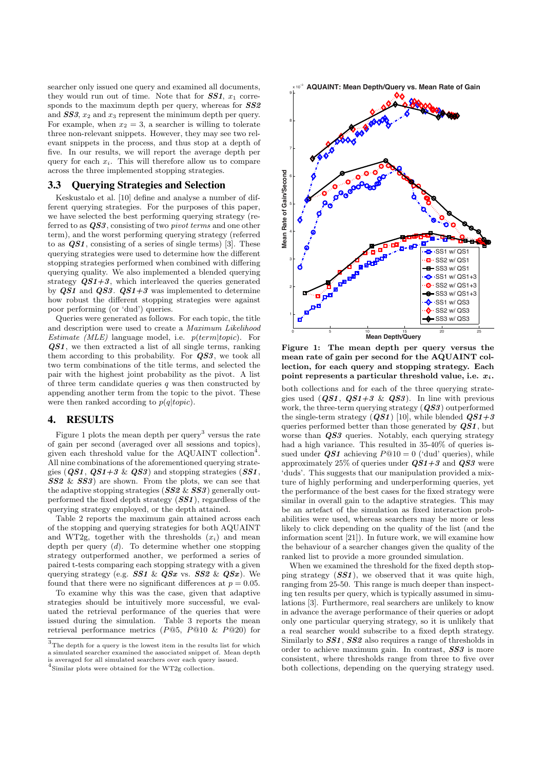searcher only issued one query and examined all documents, they would run out of time. Note that for *SS1*, *x*<sup>1</sup> corresponds to the maximum depth per query, whereas for *SS2* and *SS3*, *x*<sup>2</sup> and *x*<sup>3</sup> represent the minimum depth per query. For example, when  $x_2 = 3$ , a searcher is willing to tolerate three non-relevant snippets. However, they may see two relevant snippets in the process, and thus stop at a depth of five. In our results, we will report the average depth per query for each  $x_i$ . This will therefore allow us to compare across the three implemented stopping strategies.

# 3.3 Querying Strategies and Selection

Keskustalo et al. [10] define and analyse a number of different querying strategies. For the purposes of this paper, we have selected the best performing querying strategy (referred to as *QS3*, consisting of two *pivot terms* and one other term), and the worst performing querying strategy (referred to as *QS1*, consisting of a series of single terms) [3]. These querying strategies were used to determine how the different stopping strategies performed when combined with differing querying quality. We also implemented a blended querying strategy *QS1+3*, which interleaved the queries generated by *QS1* and *QS3*. *QS1+3* was implemented to determine how robust the different stopping strategies were against poor performing (or 'dud') queries.

Queries were generated as follows. For each topic, the title and description were used to create a *Maximum Likelihood Estimate (MLE)* language model, i.e. *p*(*term|topic*). For *QS1*, we then extracted a list of all single terms, ranking them according to this probability. For *QS3*, we took all two term combinations of the title terms, and selected the pair with the highest joint probability as the pivot. A list of three term candidate queries *q* was then constructed by appending another term from the topic to the pivot. These were then ranked according to  $p(q | topic)$ .

### 4. RESULTS

Figure 1 plots the mean depth per  $\operatorname{query}{}^{3}$  versus the rate of gain per second (averaged over all sessions and topics), given each threshold value for the AQUAINT collection<sup>4</sup>. All nine combinations of the aforementioned querying strategies  $(QS1, QS1+3 \& QS3)$  and stopping strategies  $(SS1,$ *SS2* & *SS3*) are shown. From the plots, we can see that the adaptive stopping strategies (*SS2* & *SS3*) generally outperformed the fixed depth strategy (*SS1*), regardless of the querying strategy employed, or the depth attained.

Table 2 reports the maximum gain attained across each of the stopping and querying strategies for both AQUAINT and WT2g, together with the thresholds  $(x_i)$  and mean depth per query (*d*). To determine whether one stopping strategy outperformed another, we performed a series of paired t-tests comparing each stopping strategy with a given querying strategy (e.g. *SS1* & *QSx* vs. *SS2* & *QSx*). We found that there were no significant differences at  $p = 0.05$ .

To examine why this was the case, given that adaptive strategies should be intuitively more successful, we evaluated the retrieval performance of the queries that were issued during the simulation. Table 3 reports the mean retrieval performance metrics (*P*@5, *P*@10 & *P*@20) for



Figure 1: The mean depth per query versus the mean rate of gain per second for the AQUAINT collection, for each query and stopping strategy. Each point represents a particular threshold value, i.e. *xi*.

both collections and for each of the three querying strategies used (*QS1*, *QS1+3* & *QS3*). In line with previous work, the three-term querying strategy (*QS3*) outperformed the single-term strategy (*QS1*) [10], while blended *QS1+3* queries performed better than those generated by *QS1*, but worse than *QS3* queries. Notably, each querying strategy had a high variance. This resulted in 35-40% of queries issued under  $\overline{Q}S1$  achieving  $P@10 = 0$  ('dud' queries), while approximately 25% of queries under *QS1+3* and *QS3* were 'duds'. This suggests that our manipulation provided a mixture of highly performing and underperforming queries, yet the performance of the best cases for the fixed strategy were similar in overall gain to the adaptive strategies. This may be an artefact of the simulation as fixed interaction probabilities were used, whereas searchers may be more or less likely to click depending on the quality of the list (and the information scent [21]). In future work, we will examine how the behaviour of a searcher changes given the quality of the ranked list to provide a more grounded simulation.

When we examined the threshold for the fixed depth stopping strategy (*SS1*), we observed that it was quite high, ranging from 25-50. This range is much deeper than inspecting ten results per query, which is typically assumed in simulations [3]. Furthermore, real searchers are unlikely to know in advance the average performance of their queries or adopt only one particular querying strategy, so it is unlikely that a real searcher would subscribe to a fixed depth strategy. Similarly to *SS1*, *SS2* also requires a range of thresholds in order to achieve maximum gain. In contrast, *SS3* is more consistent, where thresholds range from three to five over both collections, depending on the querying strategy used.

 $^3\mathrm{The}$  depth for a query is the lowest item in the results list for which a simulated searcher examined the associated snippet of. Mean depth is averaged for all simulated searchers over each query issued.

 $4$ Similar plots were obtained for the WT2g collection.